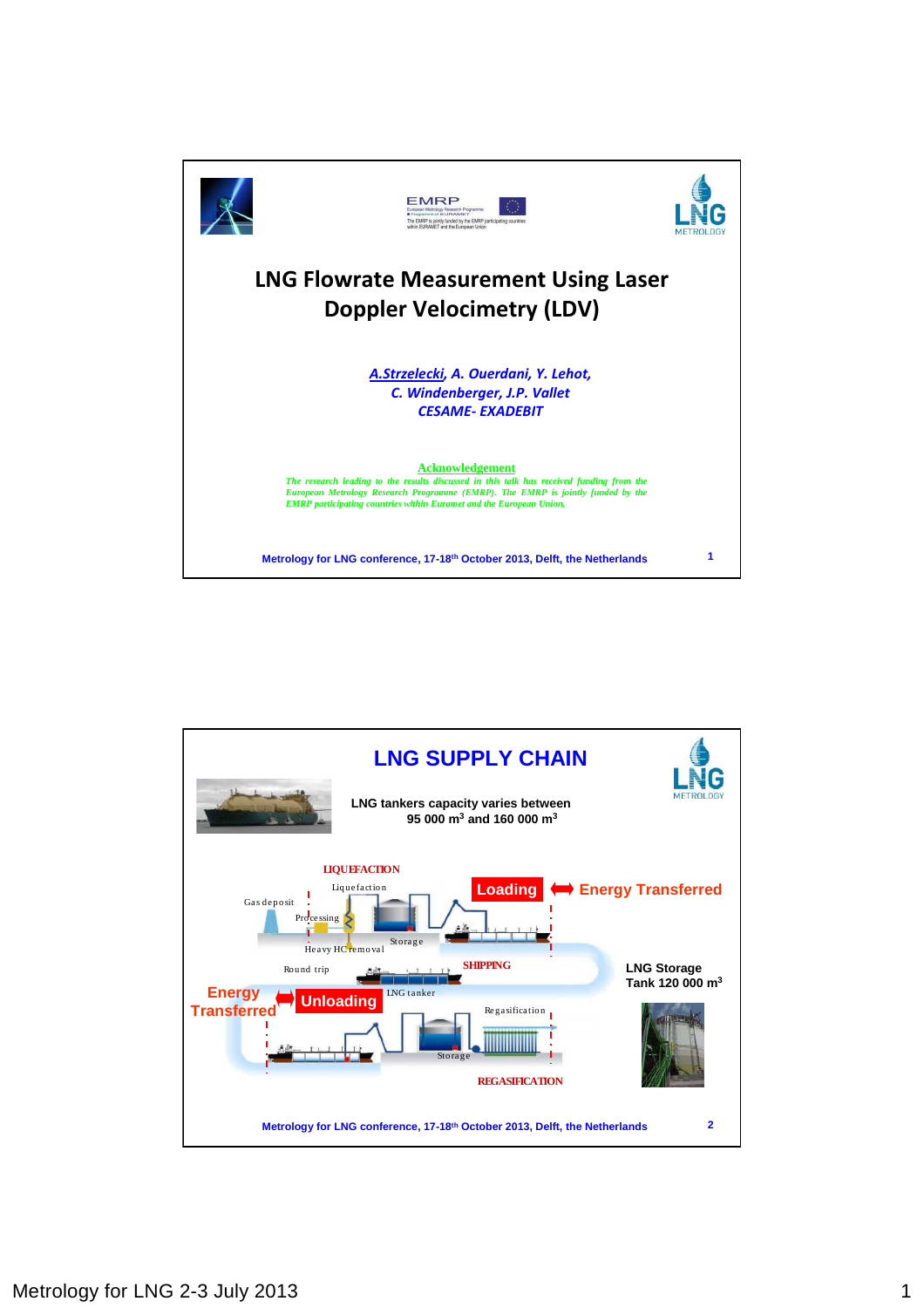

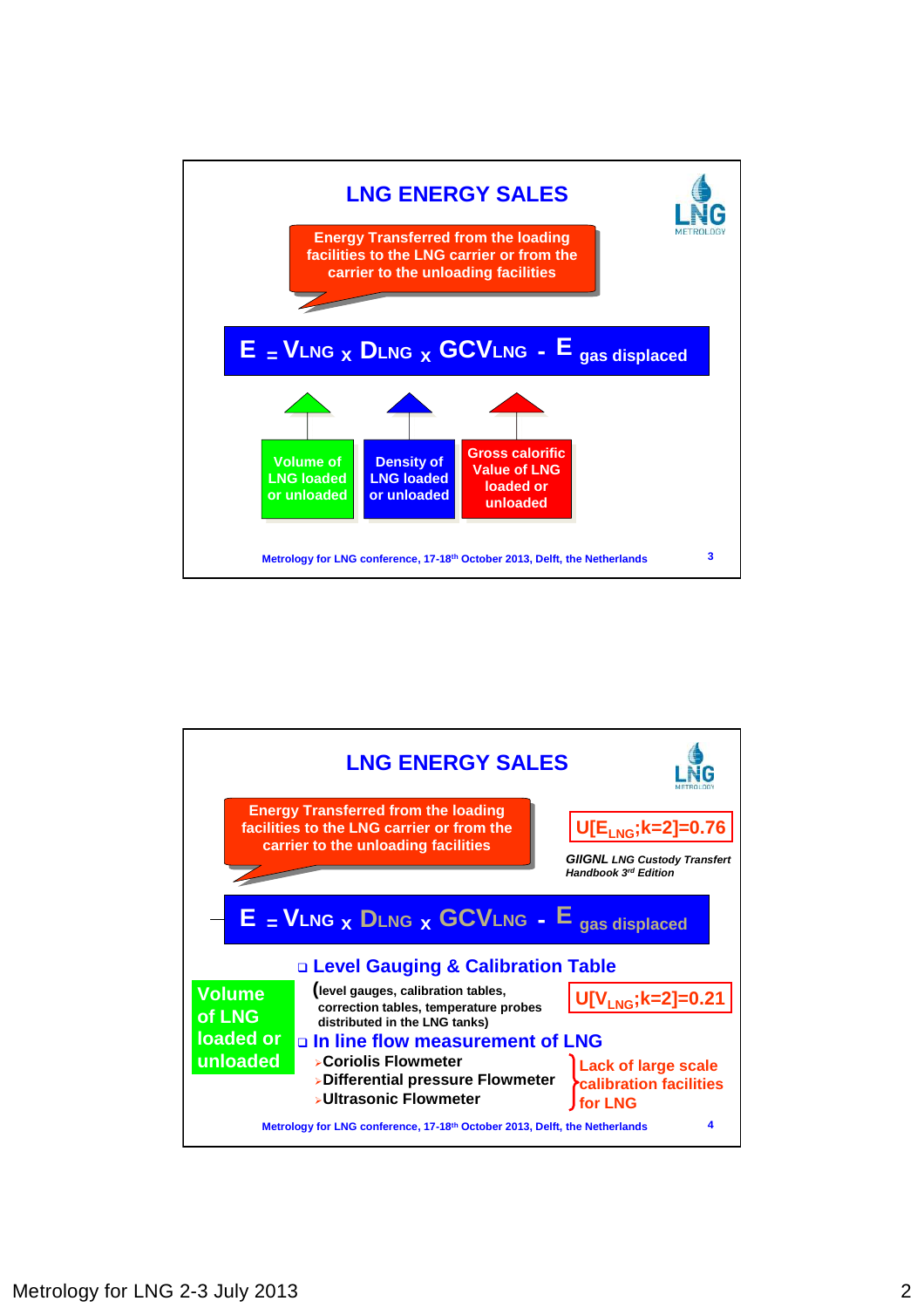

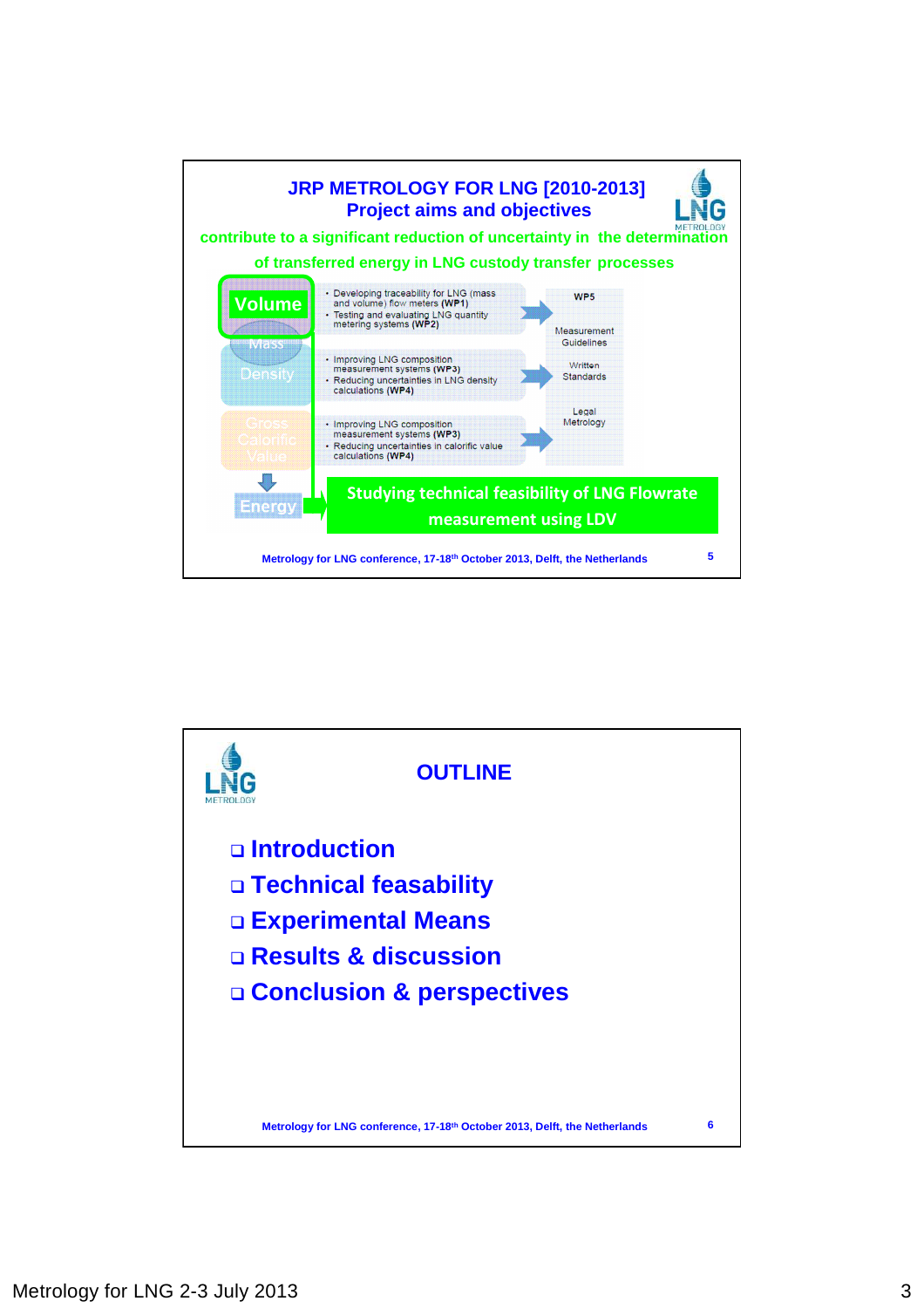

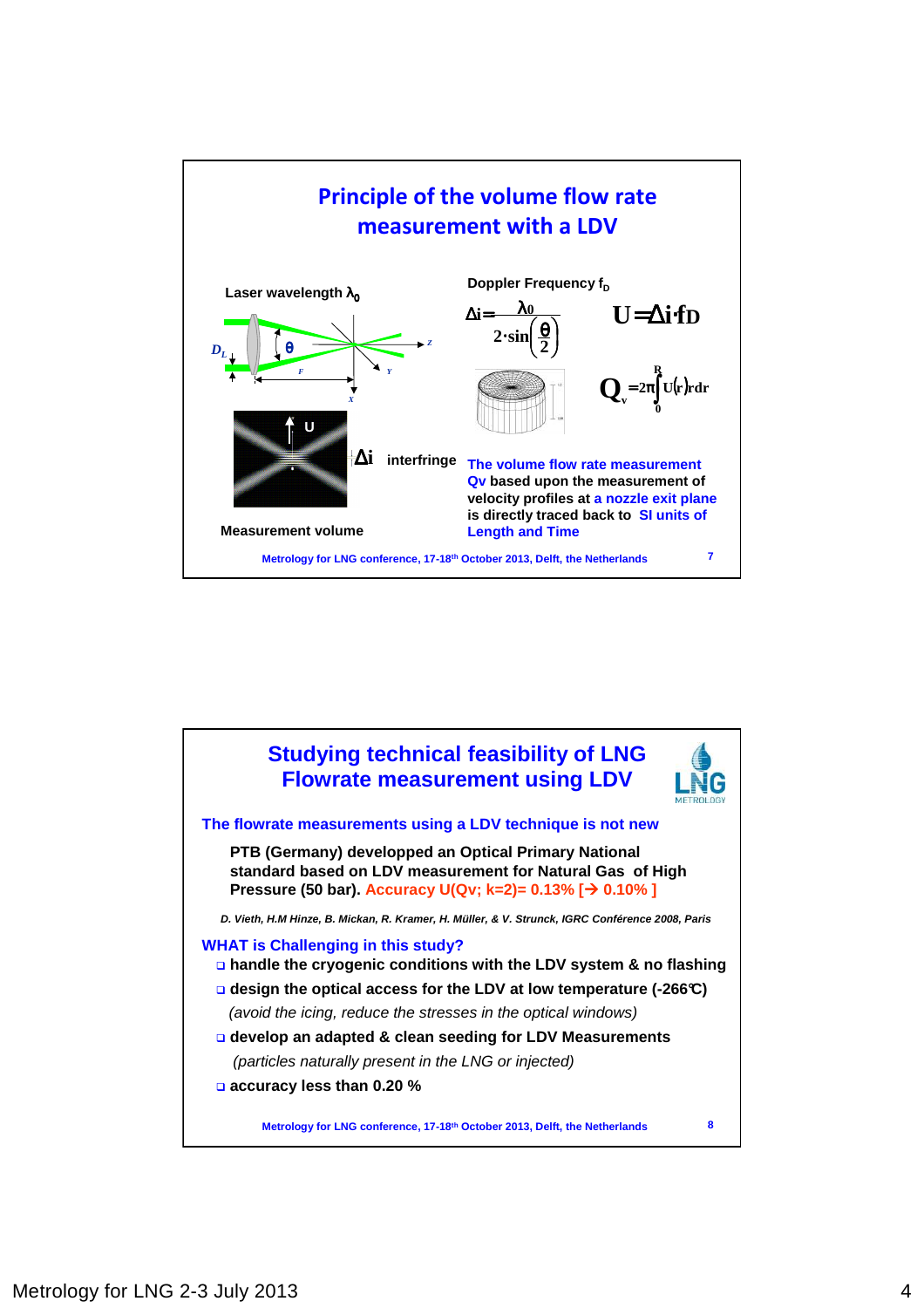

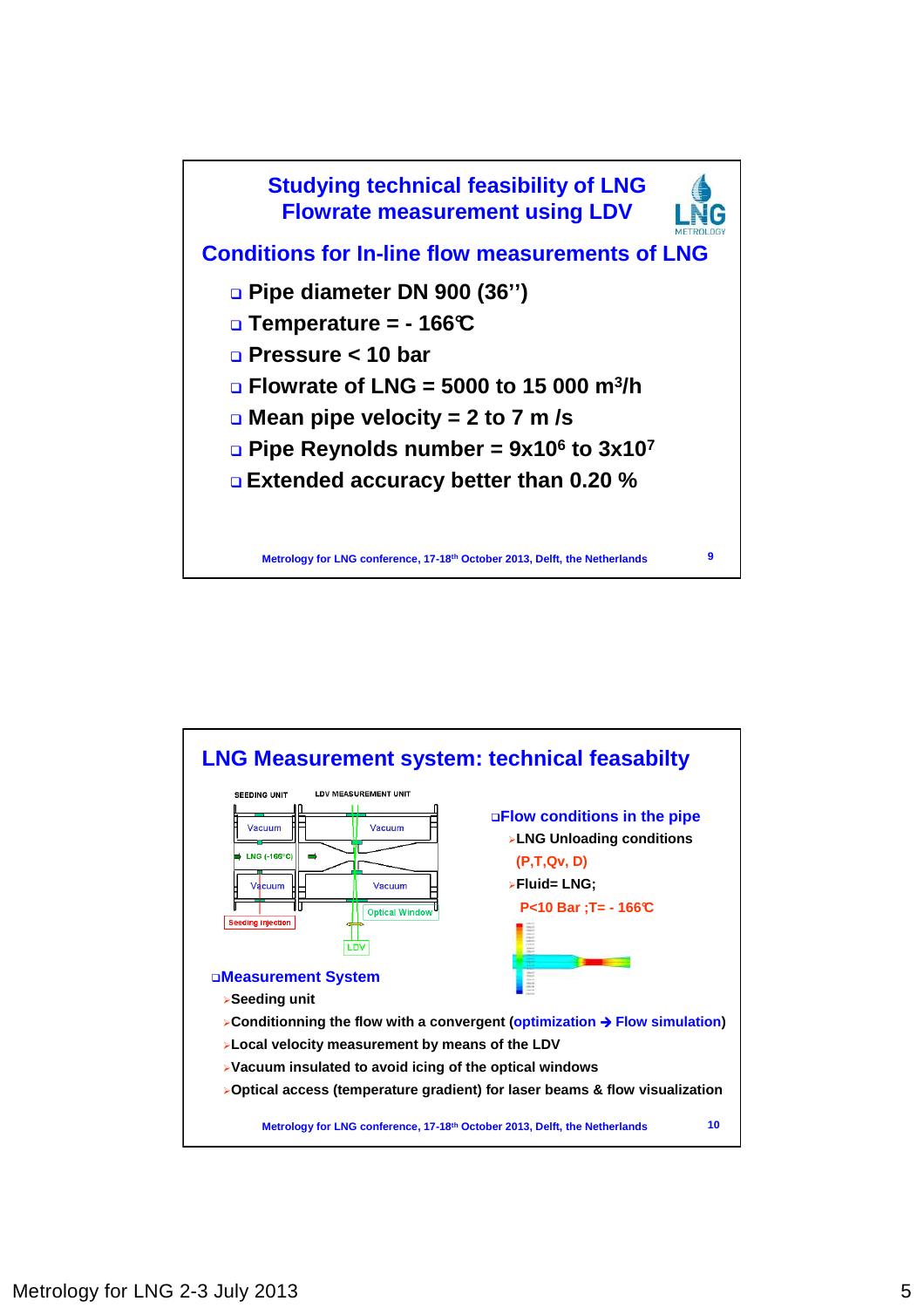

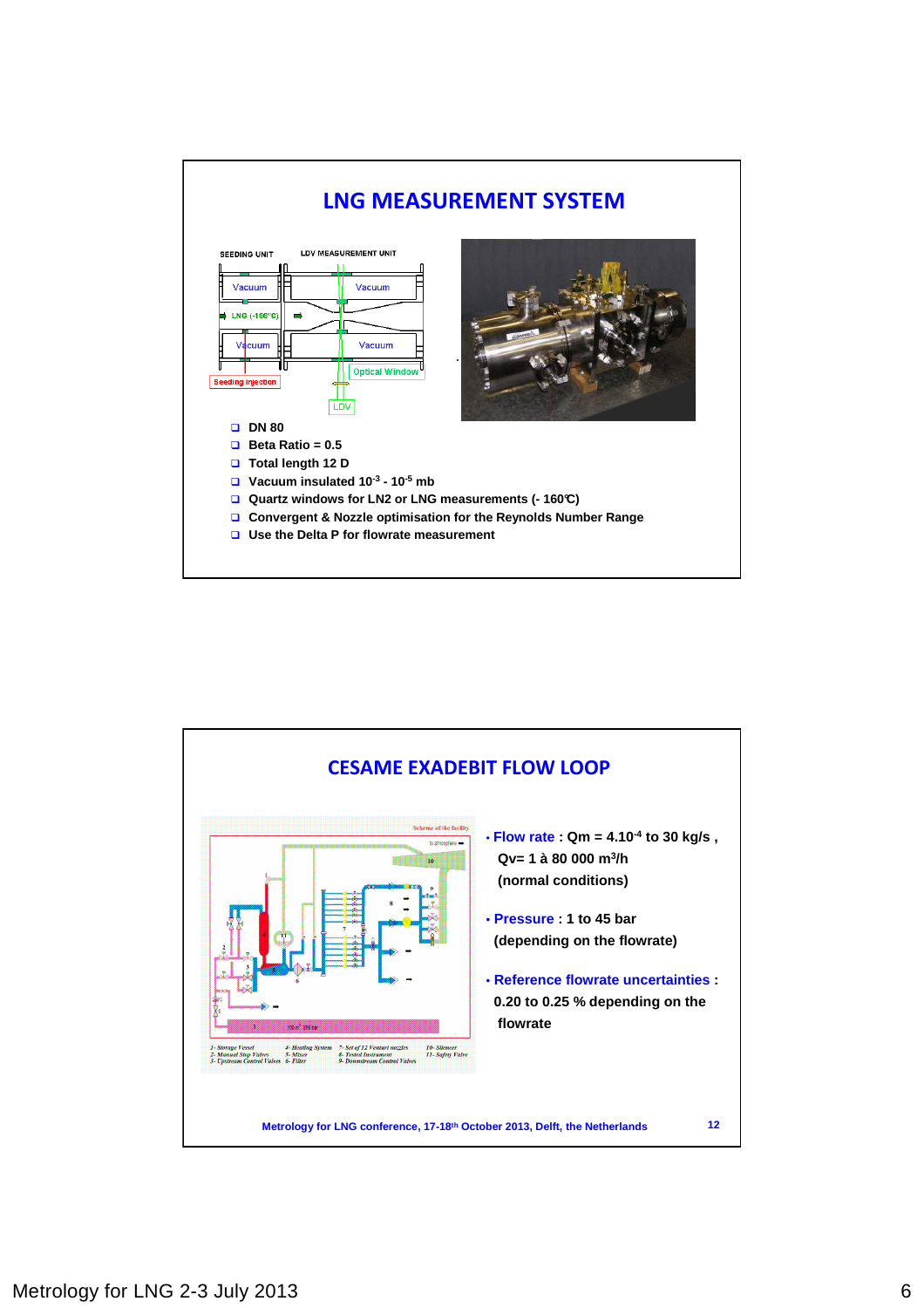

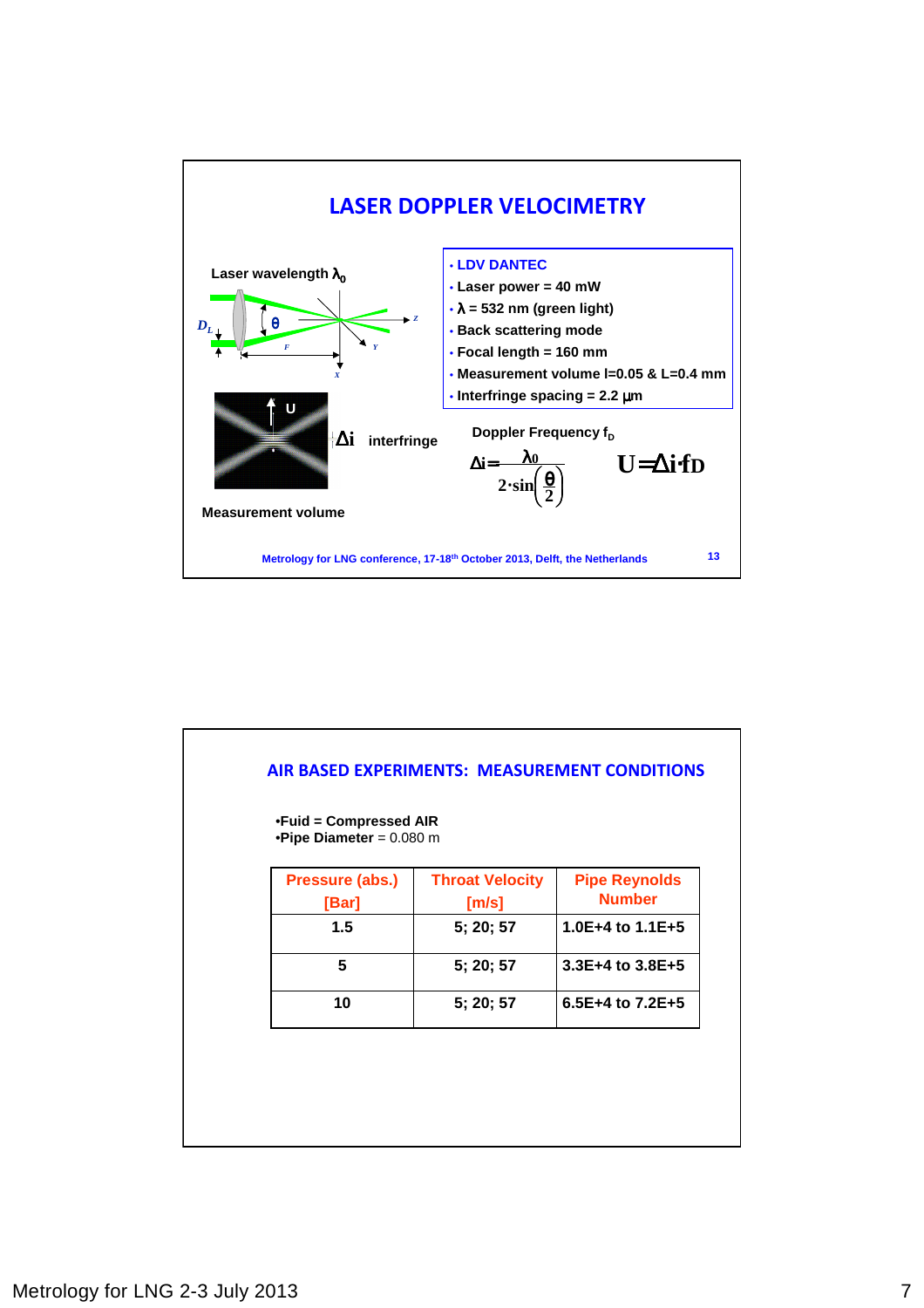

| •Fuid = Compressed AIR<br>•Pipe Diameter = $0.080$ m |                                 |                                       |
|------------------------------------------------------|---------------------------------|---------------------------------------|
| Pressure (abs.)<br>[Bar]                             | <b>Throat Velocity</b><br>[m/s] | <b>Pipe Reynolds</b><br><b>Number</b> |
| 1.5                                                  | 5; 20; 57                       | 1.0E+4 to $1.1E+5$                    |
| 5                                                    | 5; 20; 57                       | $3.3E+4$ to $3.8E+5$                  |
| 10                                                   | 5; 20; 57                       | 6.5E+4 to 7.2E+5                      |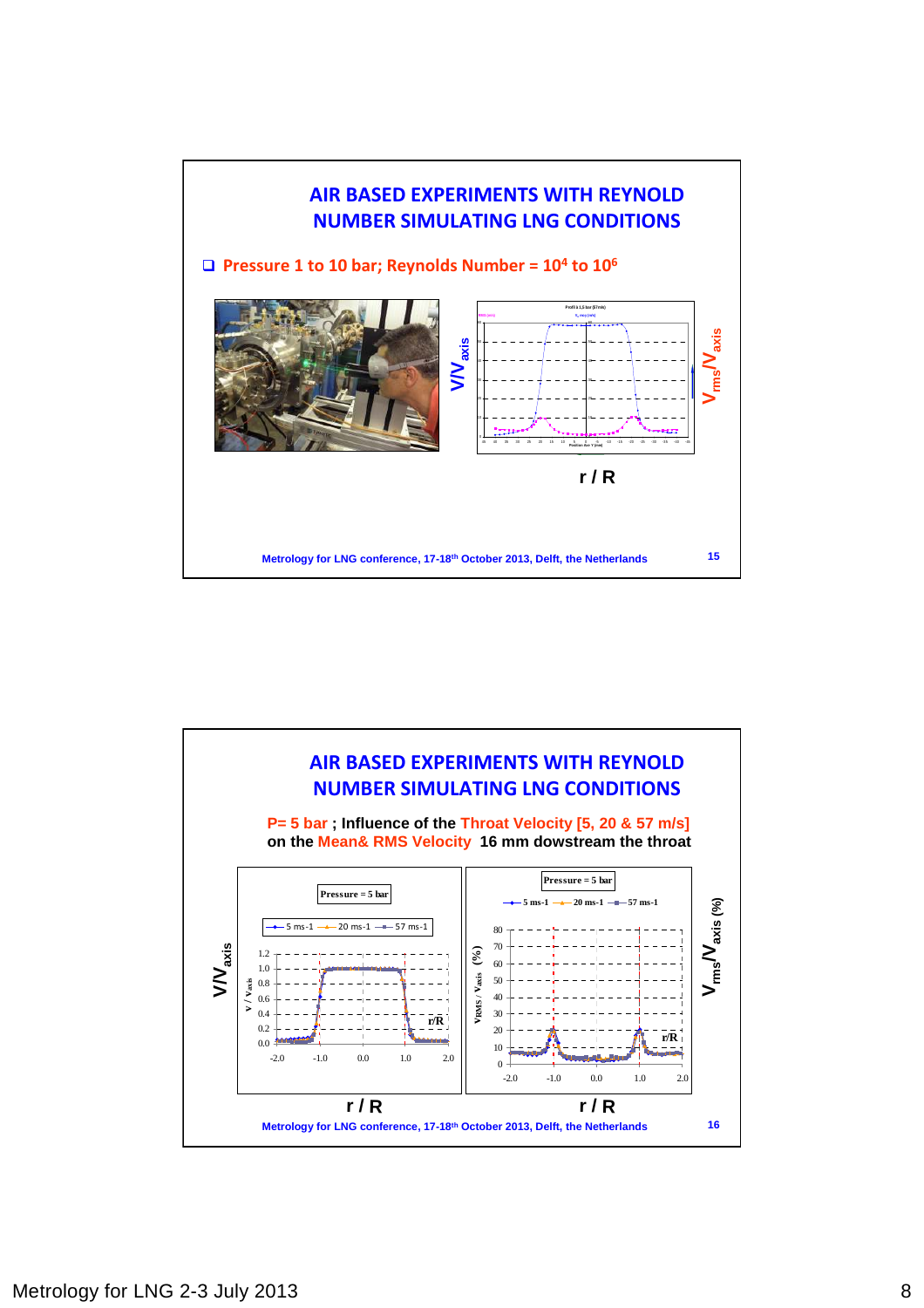

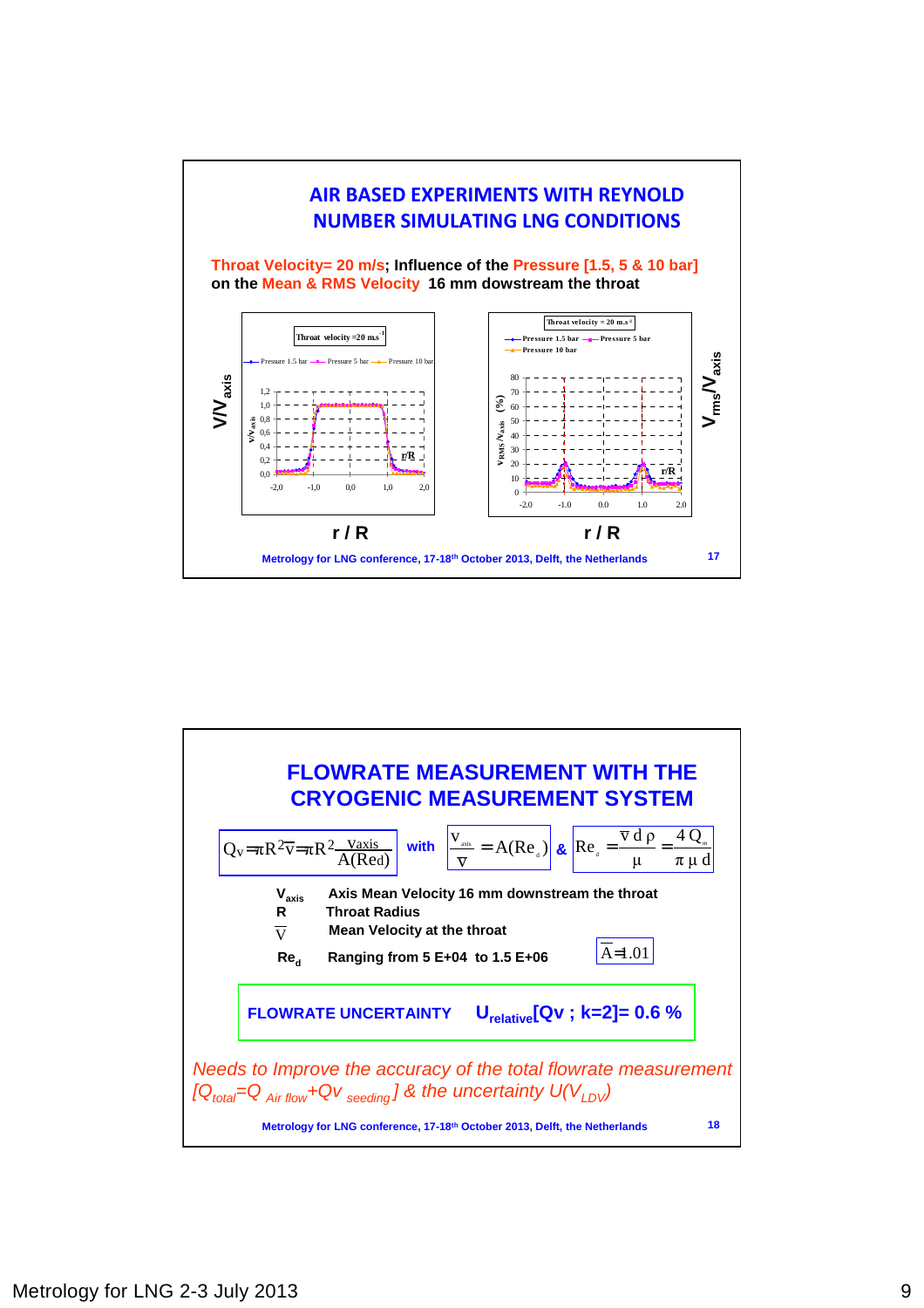

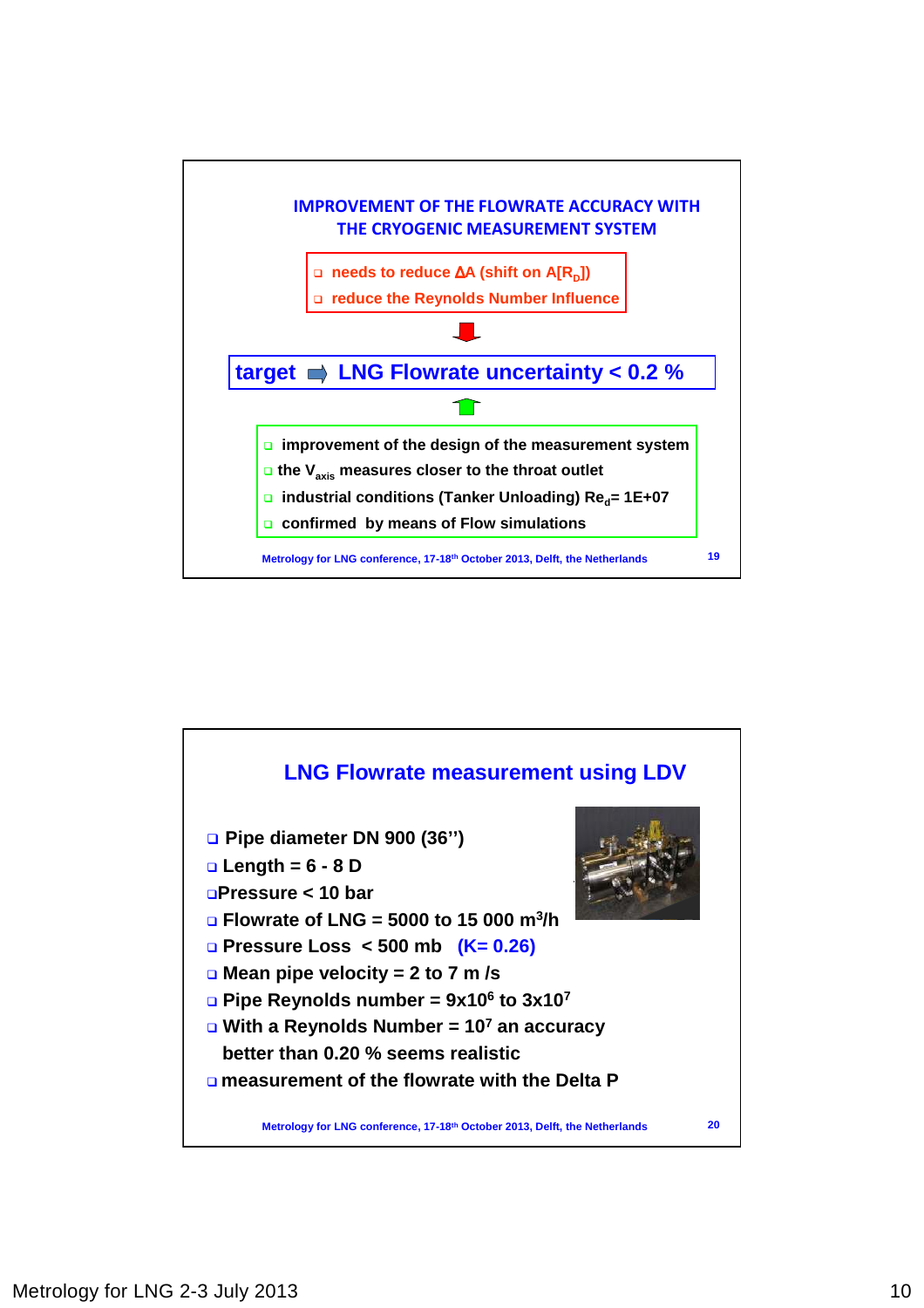